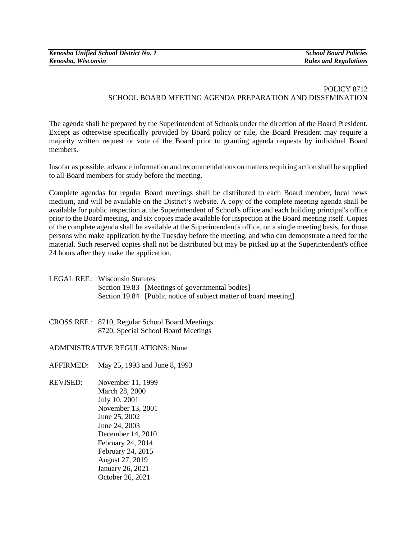## POLICY 8712 SCHOOL BOARD MEETING AGENDA PREPARATION AND DISSEMINATION

The agenda shall be prepared by the Superintendent of Schools under the direction of the Board President. Except as otherwise specifically provided by Board policy or rule, the Board President may require a majority written request or vote of the Board prior to granting agenda requests by individual Board members.

Insofar as possible, advance information and recommendations on matters requiring action shall be supplied to all Board members for study before the meeting.

Complete agendas for regular Board meetings shall be distributed to each Board member, local news medium, and will be available on the District's website. A copy of the complete meeting agenda shall be available for public inspection at the Superintendent of School's office and each building principal's office prior to the Board meeting, and six copies made available for inspection at the Board meeting itself. Copies of the complete agenda shall be available at the Superintendent's office, on a single meeting basis, for those persons who make application by the Tuesday before the meeting, and who can demonstrate a need for the material. Such reserved copies shall not be distributed but may be picked up at the Superintendent's office 24 hours after they make the application.

| LEGAL REF.: Wisconsin Statutes |                                                                  |
|--------------------------------|------------------------------------------------------------------|
|                                | Section 19.83 [Meetings of governmental bodies]                  |
|                                | Section 19.84 [Public notice of subject matter of board meeting] |

CROSS REF.: 8710, Regular School Board Meetings 8720, Special School Board Meetings

## ADMINISTRATIVE REGULATIONS: None

AFFIRMED: May 25, 1993 and June 8, 1993

REVISED: November 11, 1999 March 28, 2000 July 10, 2001 November 13, 2001 June 25, 2002 June 24, 2003 December 14, 2010 February 24, 2014 February 24, 2015 August 27, 2019 January 26, 2021 October 26, 2021